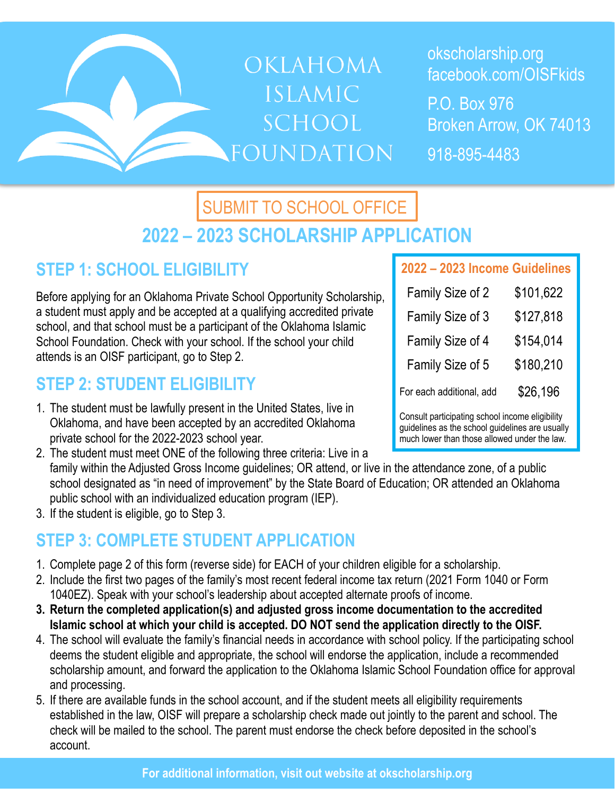# **OKLAHOMA ISLAMIC** SCHOOL **FOUNDATION**

okscholarship.org facebook.com/OISFkids

P.O. Box 976 Broken Arrow, OK 74013

918-895-4483

## **2022 – 2023 SCHOLARSHIP APPLICATION** SUBMIT TO SCHOOL OFFICE

### **STEP 1: SCHOOL ELIGIBILITY**

Before applying for an Oklahoma Private School Opportunity Scholarship, a student must apply and be accepted at a qualifying accredited private school, and that school must be a participant of the Oklahoma Islamic School Foundation. Check with your school. If the school your child attends is an OISF participant, go to Step 2.

### **STEP 2: STUDENT ELIGIBILITY**

- 1. The student must be lawfully present in the United States, live in Oklahoma, and have been accepted by an accredited Oklahoma private school for the 2022-2023 school year.
- 2. The student must meet ONE of the following three criteria: Live in a family within the Adjusted Gross Income guidelines; OR attend, or live in the attendance zone, of a public school designated as "in need of improvement" by the State Board of Education; OR attended an Oklahoma public school with an individualized education program (IEP).
- 3. If the student is eligible, go to Step 3.

### **STEP 3: COMPLETE STUDENT APPLICATION**

- 1. Complete page 2 of this form (reverse side) for EACH of your children eligible for a scholarship.
- 2. Include the first two pages of the family's most recent federal income tax return (2021 Form 1040 or Form 1040EZ). Speak with your school's leadership about accepted alternate proofs of income.
- **3. Return the completed application(s) and adjusted gross income documentation to the accredited Islamic school at which your child is accepted. DO NOT send the application directly to the OISF.**
- 4. The school will evaluate the family's financial needs in accordance with school policy. If the participating school deems the student eligible and appropriate, the school will endorse the application, include a recommended scholarship amount, and forward the application to the Oklahoma Islamic School Foundation office for approval and processing.
- 5. If there are available funds in the school account, and if the student meets all eligibility requirements established in the law, OISF will prepare a scholarship check made out jointly to the parent and school. The check will be mailed to the school. The parent must endorse the check before deposited in the school's account.

#### **2022 – 2023 Income Guidelines**

| Family Size of 2         | \$101,622 |
|--------------------------|-----------|
| Family Size of 3         | \$127,818 |
| Family Size of 4         | \$154,014 |
| Family Size of 5         | \$180,210 |
| For each additional, add | \$26,196  |

Consult participating school income eligibility guidelines as the school guidelines are usually much lower than those allowed under the law.